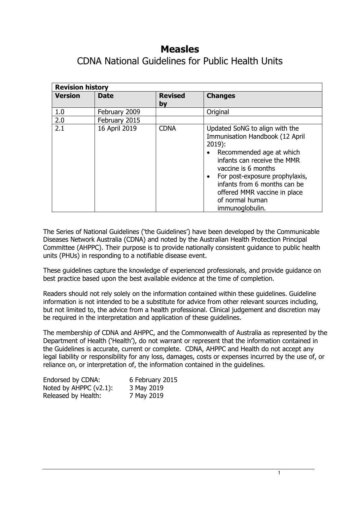# **Measles**

CDNA National Guidelines for Public Health Units

| <b>Revision history</b> |               |                      |                                                                                                                                                                                                                                                                                                         |
|-------------------------|---------------|----------------------|---------------------------------------------------------------------------------------------------------------------------------------------------------------------------------------------------------------------------------------------------------------------------------------------------------|
| <b>Version</b>          | <b>Date</b>   | <b>Revised</b><br>by | <b>Changes</b>                                                                                                                                                                                                                                                                                          |
| 1.0                     | February 2009 |                      | Original                                                                                                                                                                                                                                                                                                |
| 2.0                     | February 2015 |                      |                                                                                                                                                                                                                                                                                                         |
| 2.1                     | 16 April 2019 | <b>CDNA</b>          | Updated SoNG to align with the<br>Immunisation Handbook (12 April<br>$2019$ :<br>Recommended age at which<br>infants can receive the MMR<br>vaccine is 6 months<br>For post-exposure prophylaxis,<br>infants from 6 months can be<br>offered MMR vaccine in place<br>of normal human<br>immunoglobulin. |

The Series of National Guidelines ('the Guidelines') have been developed by the Communicable Diseases Network Australia (CDNA) and noted by the Australian Health Protection Principal Committee (AHPPC). Their purpose is to provide nationally consistent guidance to public health units (PHUs) in responding to a notifiable disease event.

These guidelines capture the knowledge of experienced professionals, and provide guidance on best practice based upon the best available evidence at the time of completion.

Readers should not rely solely on the information contained within these guidelines. Guideline information is not intended to be a substitute for advice from other relevant sources including, but not limited to, the advice from a health professional. Clinical judgement and discretion may be required in the interpretation and application of these guidelines.

The membership of CDNA and AHPPC, and the Commonwealth of Australia as represented by the Department of Health ('Health'), do not warrant or represent that the information contained in the Guidelines is accurate, current or complete. CDNA, AHPPC and Health do not accept any legal liability or responsibility for any loss, damages, costs or expenses incurred by the use of, or reliance on, or interpretation of, the information contained in the guidelines.

| Endorsed by CDNA:         | 6 February 2015 |
|---------------------------|-----------------|
| Noted by AHPPC $(v2.1)$ : | 3 May 2019      |
| Released by Health:       | 7 May 2019      |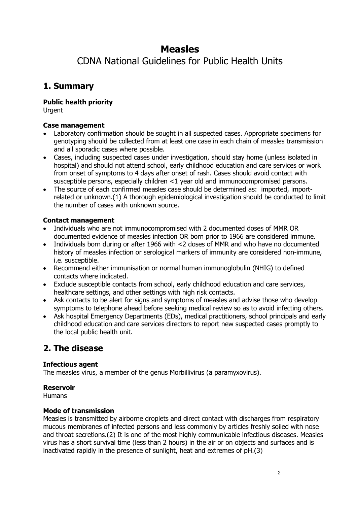# **Measles**

CDNA National Guidelines for Public Health Units

# **1. Summary**

**Public health priority**

Urgent

## **Case management**

- Laboratory confirmation should be sought in all suspected cases. Appropriate specimens for genotyping should be collected from at least one case in each chain of measles transmission and all sporadic cases where possible.
- Cases, including suspected cases under investigation, should stay home (unless isolated in hospital) and should not attend school, early childhood education and care services or work from onset of symptoms to 4 days after onset of rash. Cases should avoid contact with susceptible persons, especially children <1 year old and immunocompromised persons.
- The source of each confirmed measles case should be determined as: imported, importrelated or unknown.(1) A thorough epidemiological investigation should be conducted to limit the number of cases with unknown source.

## **Contact management**

- Individuals who are not immunocompromised with 2 documented doses of MMR OR documented evidence of measles infection OR born prior to 1966 are considered immune.
- Individuals born during or after 1966 with <2 doses of MMR and who have no documented history of measles infection or serological markers of immunity are considered non-immune, i.e. susceptible.
- Recommend either immunisation or normal human immunoglobulin (NHIG) to defined contacts where indicated.
- Exclude susceptible contacts from school, early childhood education and care services, healthcare settings, and other settings with high risk contacts.
- Ask contacts to be alert for signs and symptoms of measles and advise those who develop symptoms to telephone ahead before seeking medical review so as to avoid infecting others.
- Ask hospital Emergency Departments (EDs), medical practitioners, school principals and early childhood education and care services directors to report new suspected cases promptly to the local public health unit.

# **2. The disease**

## **Infectious agent**

The measles virus, a member of the genus Morbillivirus (a paramyxovirus).

## **Reservoir**

**Humans** 

## **Mode of transmission**

Measles is transmitted by airborne droplets and direct contact with discharges from respiratory mucous membranes of infected persons and less commonly by articles freshly soiled with nose and throat secretions.(2) It is one of the most highly communicable infectious diseases. Measles virus has a short survival time (less than 2 hours) in the air or on objects and surfaces and is inactivated rapidly in the presence of sunlight, heat and extremes of pH.(3)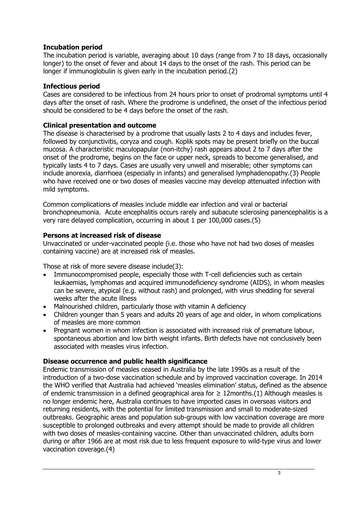## **Incubation period**

The incubation period is variable, averaging about 10 days (range from 7 to 18 days, occasionally longer) to the onset of fever and about 14 days to the onset of the rash. This period can be longer if immunoglobulin is given early in the incubation period.(2)

#### **Infectious period**

Cases are considered to be infectious from 24 hours prior to onset of prodromal symptoms until 4 days after the onset of rash. Where the prodrome is undefined, the onset of the infectious period should be considered to be 4 days before the onset of the rash.

#### **Clinical presentation and outcome**

The disease is characterised by a prodrome that usually lasts 2 to 4 days and includes fever, followed by conjunctivitis, coryza and cough. Koplik spots may be present briefly on the buccal mucosa. A characteristic maculopapular (non-itchy) rash appears about 2 to 7 days after the onset of the prodrome, begins on the face or upper neck, spreads to become generalised, and typically lasts 4 to 7 days. Cases are usually very unwell and miserable; other symptoms can include anorexia, diarrhoea (especially in infants) and generalised lymphadenopathy.(3) People who have received one or two doses of measles vaccine may develop attenuated infection with mild symptoms.

Common complications of measles include middle ear infection and viral or bacterial bronchopneumonia. Acute encephalitis occurs rarely and subacute sclerosing panencephalitis is a very rare delayed complication, occurring in about 1 per 100,000 cases.(5)

#### **Persons at increased risk of disease**

Unvaccinated or under-vaccinated people (i.e. those who have not had two doses of measles containing vaccine) are at increased risk of measles.

Those at risk of more severe disease include(3):

- Immunocompromised people, especially those with T-cell deficiencies such as certain leukaemias, lymphomas and acquired immunodeficiency syndrome (AIDS), in whom measles can be severe, atypical (e.g. without rash) and prolonged, with virus shedding for several weeks after the acute illness
- Malnourished children, particularly those with vitamin A deficiency
- Children younger than 5 years and adults 20 years of age and older, in whom complications of measles are more common
- Pregnant women in whom infection is associated with increased risk of premature labour, spontaneous abortion and low birth weight infants. Birth defects have not conclusively been associated with measles virus infection.

## **Disease occurrence and public health significance**

Endemic transmission of measles ceased in Australia by the late 1990s as a result of the introduction of a two-dose vaccination schedule and by improved vaccination coverage. In 2014 the WHO verified that Australia had achieved 'measles elimination' status, defined as the absence of endemic transmission in a defined geographical area for  $\geq 12$ months.(1) Although measles is no longer endemic here, Australia continues to have imported cases in overseas visitors and returning residents, with the potential for limited transmission and small to moderate-sized outbreaks. Geographic areas and population sub-groups with low vaccination coverage are more susceptible to prolonged outbreaks and every attempt should be made to provide all children with two doses of measles-containing vaccine. Other than unvaccinated children, adults born during or after 1966 are at most risk due to less frequent exposure to wild-type virus and lower vaccination coverage.(4)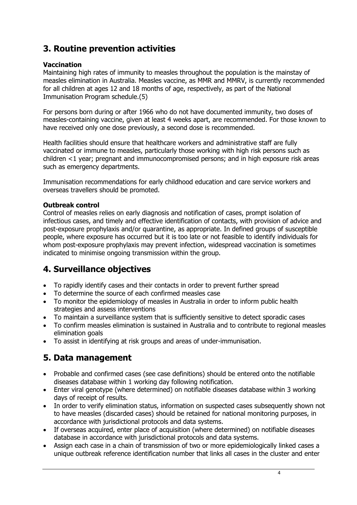# **3. Routine prevention activities**

## **Vaccination**

Maintaining high rates of immunity to measles throughout the population is the mainstay of measles elimination in Australia. Measles vaccine, as MMR and MMRV, is currently recommended for all children at ages 12 and 18 months of age, respectively, as part of the National Immunisation Program schedule.(5)

For persons born during or after 1966 who do not have documented immunity, two doses of measles-containing vaccine, given at least 4 weeks apart, are recommended. For those known to have received only one dose previously, a second dose is recommended.

Health facilities should ensure that healthcare workers and administrative staff are fully vaccinated or immune to measles, particularly those working with high risk persons such as children <1 year; pregnant and immunocompromised persons; and in high exposure risk areas such as emergency departments.

Immunisation recommendations for early childhood education and care service workers and overseas travellers should be promoted.

## **Outbreak control**

Control of measles relies on early diagnosis and notification of cases, prompt isolation of infectious cases, and timely and effective identification of contacts, with provision of advice and post-exposure prophylaxis and/or quarantine, as appropriate. In defined groups of susceptible people, where exposure has occurred but it is too late or not feasible to identify individuals for whom post-exposure prophylaxis may prevent infection, widespread vaccination is sometimes indicated to minimise ongoing transmission within the group.

# **4. Surveillance objectives**

- To rapidly identify cases and their contacts in order to prevent further spread
- To determine the source of each confirmed measles case
- To monitor the epidemiology of measles in Australia in order to inform public health strategies and assess interventions
- To maintain a surveillance system that is sufficiently sensitive to detect sporadic cases
- To confirm measles elimination is sustained in Australia and to contribute to regional measles elimination goals
- To assist in identifying at risk groups and areas of under-immunisation.

## **5. Data management**

- Probable and confirmed cases (see case definitions) should be entered onto the notifiable diseases database within 1 working day following notification.
- Enter viral genotype (where determined) on notifiable diseases database within 3 working days of receipt of results.
- In order to verify elimination status, information on suspected cases subsequently shown not to have measles (discarded cases) should be retained for national monitoring purposes, in accordance with jurisdictional protocols and data systems.
- If overseas acquired, enter place of acquisition (where determined) on notifiable diseases database in accordance with jurisdictional protocols and data systems.
- Assign each case in a chain of transmission of two or more epidemiologically linked cases a unique outbreak reference identification number that links all cases in the cluster and enter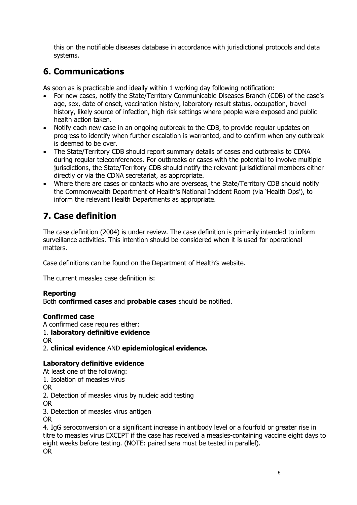this on the notifiable diseases database in accordance with jurisdictional protocols and data systems.

# **6. Communications**

As soon as is practicable and ideally within 1 working day following notification:

- For new cases, notify the State/Territory Communicable Diseases Branch (CDB) of the case's age, sex, date of onset, vaccination history, laboratory result status, occupation, travel history, likely source of infection, high risk settings where people were exposed and public health action taken.
- Notify each new case in an ongoing outbreak to the CDB, to provide regular updates on progress to identify when further escalation is warranted, and to confirm when any outbreak is deemed to be over.
- The State/Territory CDB should report summary details of cases and outbreaks to CDNA during regular teleconferences. For outbreaks or cases with the potential to involve multiple jurisdictions, the State/Territory CDB should notify the relevant jurisdictional members either directly or via the CDNA secretariat, as appropriate.
- Where there are cases or contacts who are overseas, the State/Territory CDB should notify the Commonwealth Department of Health's National Incident Room (via 'Health Ops'), to inform the relevant Health Departments as appropriate.

# **7. Case definition**

The case definition (2004) is under review. The case definition is primarily intended to inform surveillance activities. This intention should be considered when it is used for operational matters.

[Case definitions](http://www.health.gov.au/casedefinitions) can be found on the Department of Health's website.

The current measles case definition is:

## **Reporting**

Both **confirmed cases** and **probable cases** should be notified.

## **Confirmed case**

A confirmed case requires either: 1. **laboratory definitive evidence** OR 2. **clinical evidence** AND **epidemiological evidence.**

## **Laboratory definitive evidence**

At least one of the following: 1. Isolation of measles virus OR 2. Detection of measles virus by nucleic acid testing OR 3. Detection of measles virus antigen OR 4. IgG seroconversion or a significant increase in antibody level or a fourfold or greater rise in

titre to measles virus EXCEPT if the case has received a measles-containing vaccine eight days to eight weeks before testing. (NOTE: paired sera must be tested in parallel). OR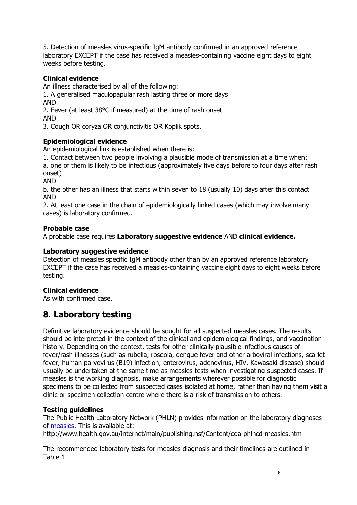5. Detection of measles virus-specific IgM antibody confirmed in an approved reference laboratory EXCEPT if the case has received a measles-containing vaccine eight days to eight weeks before testing.

## **Clinical evidence**

An illness characterised by all of the following:

1. A generalised maculopapular rash lasting three or more days AND

2. Fever (at least 38°C if measured) at the time of rash onset AND

3. Cough OR coryza OR conjunctivitis OR Koplik spots.

## **Epidemiological evidence**

An epidemiological link is established when there is:

1. Contact between two people involving a plausible mode of transmission at a time when:

a. one of them is likely to be infectious (approximately five days before to four days after rash onset)

AND

b. the other has an illness that starts within seven to 18 (usually 10) days after this contact AND

2. At least one case in the chain of epidemiologically linked cases (which may involve many cases) is laboratory confirmed.

## **Probable case**

A probable case requires **Laboratory suggestive evidence** AND **clinical evidence.**

#### **Laboratory suggestive evidence**

Detection of measles specific IgM antibody other than by an approved reference laboratory EXCEPT if the case has received a measles-containing vaccine eight days to eight weeks before testing.

#### **Clinical evidence**

As with confirmed case.

## **8. Laboratory testing**

Definitive laboratory evidence should be sought for all suspected measles cases. The results should be interpreted in the context of the clinical and epidemiological findings, and vaccination history. Depending on the context, tests for other clinically plausible infectious causes of fever/rash illnesses (such as rubella, roseola, dengue fever and other arboviral infections, scarlet fever, human parvovirus (B19) infection, enterovirus, adenovirus, HIV, Kawasaki disease) should usually be undertaken at the same time as measles tests when investigating suspected cases. If measles is the working diagnosis, make arrangements wherever possible for diagnostic specimens to be collected from suspected cases isolated at home, rather than having them visit a clinic or specimen collection centre where there is a risk of transmission to others.

## **Testing guidelines**

The Public Health Laboratory Network (PHLN) provides information on the laboratory diagnoses of [measles.](http://www.health.gov.au/internet/main/publishing.nsf/Content/cda-phlncd-measles.htm) This is available at:

http://www.health.gov.au/internet/main/publishing.nsf/Content/cda-phlncd-measles.htm

The recommended laboratory tests for measles diagnosis and their timelines are outlined in Table 1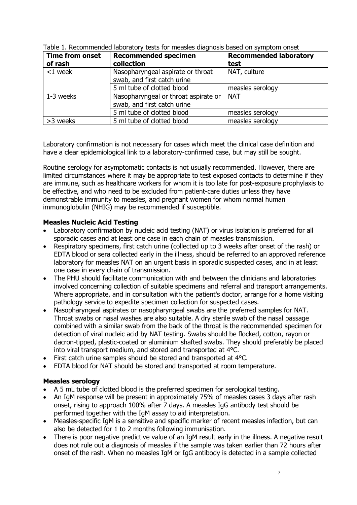| <b>Time from onset</b> | <b>Recommended specimen</b>          | <b>Recommended laboratory</b> |
|------------------------|--------------------------------------|-------------------------------|
| of rash                | collection                           | test                          |
| $<$ 1 week             | Nasopharyngeal aspirate or throat    | NAT, culture                  |
|                        | swab, and first catch urine          |                               |
|                        | 5 ml tube of clotted blood           | measles serology              |
| 1-3 weeks              | Nasopharyngeal or throat aspirate or | <b>NAT</b>                    |
|                        | swab, and first catch urine          |                               |
|                        | 5 ml tube of clotted blood           | measles serology              |
| >3 weeks               | 5 ml tube of clotted blood           | measles serology              |

Table 1. Recommended laboratory tests for measles diagnosis based on symptom onset

Laboratory confirmation is not necessary for cases which meet the clinical case definition and have a clear epidemiological link to a laboratory-confirmed case, but may still be sought.

Routine serology for asymptomatic contacts is not usually recommended. However, there are limited circumstances where it may be appropriate to test exposed contacts to determine if they are immune, such as healthcare workers for whom it is too late for post-exposure prophylaxis to be effective, and who need to be excluded from patient-care duties unless they have demonstrable immunity to measles, and pregnant women for whom normal human immunoglobulin (NHIG) may be recommended if susceptible.

## **Measles Nucleic Acid Testing**

- Laboratory confirmation by nucleic acid testing (NAT) or virus isolation is preferred for all sporadic cases and at least one case in each chain of measles transmission.
- Respiratory specimens, first catch urine (collected up to 3 weeks after onset of the rash) or EDTA blood or sera collected early in the illness, should be referred to an approved reference laboratory for measles NAT on an urgent basis in sporadic suspected cases, and in at least one case in every chain of transmission.
- The PHU should facilitate communication with and between the clinicians and laboratories involved concerning collection of suitable specimens and referral and transport arrangements. Where appropriate, and in consultation with the patient's doctor, arrange for a home visiting pathology service to expedite specimen collection for suspected cases.
- Nasopharyngeal aspirates or nasopharyngeal swabs are the preferred samples for NAT. Throat swabs or nasal washes are also suitable. A dry sterile swab of the nasal passage combined with a similar swab from the back of the throat is the recommended specimen for detection of viral nucleic acid by NAT testing. Swabs should be flocked, cotton, rayon or dacron-tipped, plastic-coated or aluminium shafted swabs. They should preferably be placed into viral transport medium, and stored and transported at 4°C.
- First catch urine samples should be stored and transported at 4°C.
- EDTA blood for NAT should be stored and transported at room temperature.

## **Measles serology**

- A 5 mL tube of clotted blood is the preferred specimen for serological testing.
- An IgM response will be present in approximately 75% of measles cases 3 days after rash onset, rising to approach 100% after 7 days. A measles IgG antibody test should be performed together with the IgM assay to aid interpretation.
- Measles-specific IgM is a sensitive and specific marker of recent measles infection, but can also be detected for 1 to 2 months following immunisation.
- There is poor negative predictive value of an IgM result early in the illness. A negative result does not rule out a diagnosis of measles if the sample was taken earlier than 72 hours after onset of the rash. When no measles IgM or IgG antibody is detected in a sample collected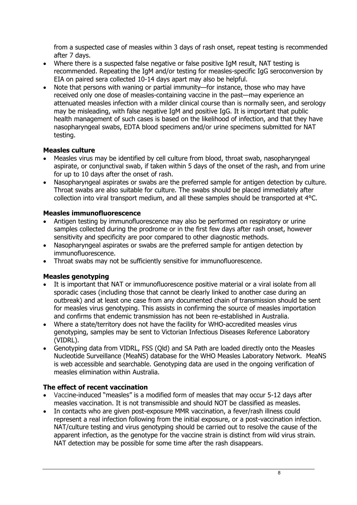from a suspected case of measles within 3 days of rash onset, repeat testing is recommended after 7 days.

- Where there is a suspected false negative or false positive IgM result, NAT testing is recommended. Repeating the IgM and/or testing for measles-specific IgG seroconversion by EIA on paired sera collected 10-14 days apart may also be helpful.
- Note that persons with waning or partial immunity—for instance, those who may have received only one dose of measles-containing vaccine in the past—may experience an attenuated measles infection with a milder clinical course than is normally seen, and serology may be misleading, with false negative IgM and positive IgG. It is important that public health management of such cases is based on the likelihood of infection, and that they have nasopharyngeal swabs, EDTA blood specimens and/or urine specimens submitted for NAT testing.

## **Measles culture**

- Measles virus may be identified by cell culture from blood, throat swab, nasopharyngeal aspirate, or conjunctival swab, if taken within 5 days of the onset of the rash, and from urine for up to 10 days after the onset of rash.
- Nasopharyngeal aspirates or swabs are the preferred sample for antigen detection by culture. Throat swabs are also suitable for culture. The swabs should be placed immediately after collection into viral transport medium, and all these samples should be transported at 4°C.

## **Measles immunofluorescence**

- Antigen testing by immunofluorescence may also be performed on respiratory or urine samples collected during the prodrome or in the first few days after rash onset, however sensitivity and specificity are poor compared to other diagnostic methods.
- Nasopharyngeal aspirates or swabs are the preferred sample for antigen detection by immunofluorescence.
- Throat swabs may not be sufficiently sensitive for immunofluorescence.

## **Measles genotyping**

- It is important that NAT or immunofluorescence positive material or a viral isolate from all sporadic cases (including those that cannot be clearly linked to another case during an outbreak) and at least one case from any documented chain of transmission should be sent for measles virus genotyping. This assists in confirming the source of measles importation and confirms that endemic transmission has not been re-established in Australia.
- Where a state/territory does not have the facility for WHO-accredited measles virus genotyping, samples may be sent to Victorian Infectious Diseases Reference Laboratory (VIDRL).
- Genotyping data from VIDRL, FSS (Qld) and SA Path are loaded directly onto the Measles Nucleotide Surveillance (MeaNS) database for the WHO Measles Laboratory Network. MeaNS is web accessible and searchable. Genotyping data are used in the ongoing verification of measles elimination within Australia.

## **The effect of recent vaccination**

- Vaccine-induced "measles" is a modified form of measles that may occur 5-12 days after measles vaccination. It is not transmissible and should NOT be classified as measles.
- In contacts who are given post-exposure MMR vaccination, a fever/rash illness could represent a real infection following from the initial exposure, or a post-vaccination infection. NAT/culture testing and virus genotyping should be carried out to resolve the cause of the apparent infection, as the genotype for the vaccine strain is distinct from wild virus strain. NAT detection may be possible for some time after the rash disappears.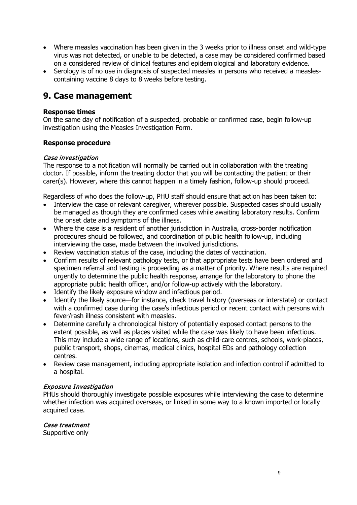- Where measles vaccination has been given in the 3 weeks prior to illness onset and wild-type virus was not detected, or unable to be detected, a case may be considered confirmed based on a considered review of clinical features and epidemiological and laboratory evidence.
- Serology is of no use in diagnosis of suspected measles in persons who received a measlescontaining vaccine 8 days to 8 weeks before testing.

## **9. Case management**

#### **Response times**

On the same day of notification of a suspected, probable or confirmed case, begin follow-up investigation using the Measles Investigation Form.

#### **Response procedure**

#### Case investigation

The response to a notification will normally be carried out in collaboration with the treating doctor. If possible, inform the treating doctor that you will be contacting the patient or their carer(s). However, where this cannot happen in a timely fashion, follow-up should proceed.

Regardless of who does the follow-up, PHU staff should ensure that action has been taken to:

- Interview the case or relevant caregiver, wherever possible. Suspected cases should usually be managed as though they are confirmed cases while awaiting laboratory results. Confirm the onset date and symptoms of the illness.
- Where the case is a resident of another jurisdiction in Australia, cross-border notification procedures should be followed, and coordination of public health follow-up, including interviewing the case, made between the involved jurisdictions.
- Review vaccination status of the case, including the dates of vaccination.
- Confirm results of relevant pathology tests, or that appropriate tests have been ordered and specimen referral and testing is proceeding as a matter of priority. Where results are required urgently to determine the public health response, arrange for the laboratory to phone the appropriate public health officer, and/or follow-up actively with the laboratory.
- Identify the likely exposure window and infectious period.
- Identify the likely source—for instance, check travel history (overseas or interstate) or contact with a confirmed case during the case's infectious period or recent contact with persons with fever/rash illness consistent with measles.
- Determine carefully a chronological history of potentially exposed contact persons to the extent possible, as well as places visited while the case was likely to have been infectious. This may include a wide range of locations, such as child-care centres, schools, work-places, public transport, shops, cinemas, medical clinics, hospital EDs and pathology collection centres.
- Review case management, including appropriate isolation and infection control if admitted to a hospital.

#### Exposure Investigation

PHUs should thoroughly investigate possible exposures while interviewing the case to determine whether infection was acquired overseas, or linked in some way to a known imported or locally acquired case.

#### Case treatment

Supportive only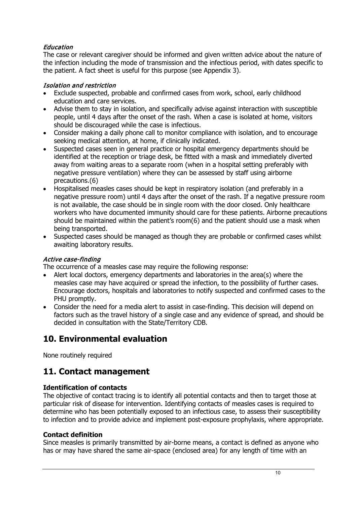## Education

The case or relevant caregiver should be informed and given written advice about the nature of the infection including the mode of transmission and the infectious period, with dates specific to the patient. A fact sheet is useful for this purpose (see Appendix 3).

## Isolation and restriction

- Exclude suspected, probable and confirmed cases from work, school, early childhood education and care services.
- Advise them to stay in isolation, and specifically advise against interaction with susceptible people, until 4 days after the onset of the rash. When a case is isolated at home, visitors should be discouraged while the case is infectious.
- Consider making a daily phone call to monitor compliance with isolation, and to encourage seeking medical attention, at home, if clinically indicated.
- Suspected cases seen in general practice or hospital emergency departments should be identified at the reception or triage desk, be fitted with a mask and immediately diverted away from waiting areas to a separate room (when in a hospital setting preferably with negative pressure ventilation) where they can be assessed by staff using airborne precautions.(6)
- Hospitalised measles cases should be kept in respiratory isolation (and preferably in a negative pressure room) until 4 days after the onset of the rash. If a negative pressure room is not available, the case should be in single room with the door closed. Only healthcare workers who have documented immunity should care for these patients. Airborne precautions should be maintained within the patient's room(6) and the patient should use a mask when being transported.
- Suspected cases should be managed as though they are probable or confirmed cases whilst awaiting laboratory results.

## Active case-finding

The occurrence of a measles case may require the following response:

- Alert local doctors, emergency departments and laboratories in the area(s) where the measles case may have acquired or spread the infection, to the possibility of further cases. Encourage doctors, hospitals and laboratories to notify suspected and confirmed cases to the PHU promptly.
- Consider the need for a media alert to assist in case-finding. This decision will depend on factors such as the travel history of a single case and any evidence of spread, and should be decided in consultation with the State/Territory CDB.

# **10. Environmental evaluation**

None routinely required

## **11. Contact management**

## **Identification of contacts**

The objective of contact tracing is to identify all potential contacts and then to target those at particular risk of disease for intervention. Identifying contacts of measles cases is required to determine who has been potentially exposed to an infectious case, to assess their susceptibility to infection and to provide advice and implement post-exposure prophylaxis, where appropriate.

## **Contact definition**

Since measles is primarily transmitted by air-borne means, a contact is defined as anyone who has or may have shared the same air-space (enclosed area) for any length of time with an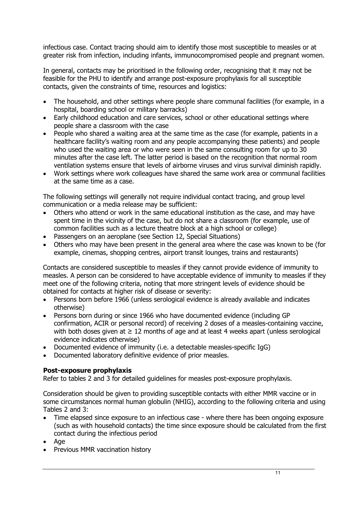infectious case. Contact tracing should aim to identify those most susceptible to measles or at greater risk from infection, including infants, immunocompromised people and pregnant women.

In general, contacts may be prioritised in the following order, recognising that it may not be feasible for the PHU to identify and arrange post-exposure prophylaxis for all susceptible contacts, given the constraints of time, resources and logistics:

- The household, and other settings where people share communal facilities (for example, in a hospital, boarding school or military barracks)
- Early childhood education and care services, school or other educational settings where people share a classroom with the case
- People who shared a waiting area at the same time as the case (for example, patients in a healthcare facility's waiting room and any people accompanying these patients) and people who used the waiting area or who were seen in the same consulting room for up to 30 minutes after the case left. The latter period is based on the recognition that normal room ventilation systems ensure that levels of airborne viruses and virus survival diminish rapidly.
- Work settings where work colleagues have shared the same work area or communal facilities at the same time as a case.

The following settings will generally not require individual contact tracing, and group level communication or a media release may be sufficient:

- Others who attend or work in the same educational institution as the case, and may have spent time in the vicinity of the case, but do not share a classroom (for example, use of common facilities such as a lecture theatre block at a high school or college)
- Passengers on an aeroplane (see Section 12, Special Situations)
- Others who may have been present in the general area where the case was known to be (for example, cinemas, shopping centres, airport transit lounges, trains and restaurants)

Contacts are considered susceptible to measles if they cannot provide evidence of immunity to measles. A person can be considered to have acceptable evidence of immunity to measles if they meet one of the following criteria, noting that more stringent levels of evidence should be obtained for contacts at higher risk of disease or severity:

- Persons born before 1966 (unless serological evidence is already available and indicates otherwise)
- Persons born during or since 1966 who have documented evidence (including GP confirmation, ACIR or personal record) of receiving 2 doses of a measles-containing vaccine, with both doses given at  $\geq 12$  months of age and at least 4 weeks apart (unless serological evidence indicates otherwise)
- Documented evidence of immunity (i.e. a detectable measles-specific IgG)
- Documented laboratory definitive evidence of prior measles.

## **Post-exposure prophylaxis**

Refer to tables 2 and 3 for detailed guidelines for measles post-exposure prophylaxis.

Consideration should be given to providing susceptible contacts with either MMR vaccine or in some circumstances normal human globulin (NHIG), according to the following criteria and using Tables 2 and 3:

- Time elapsed since exposure to an infectious case where there has been ongoing exposure (such as with household contacts) the time since exposure should be calculated from the first contact during the infectious period
- Age
- Previous MMR vaccination history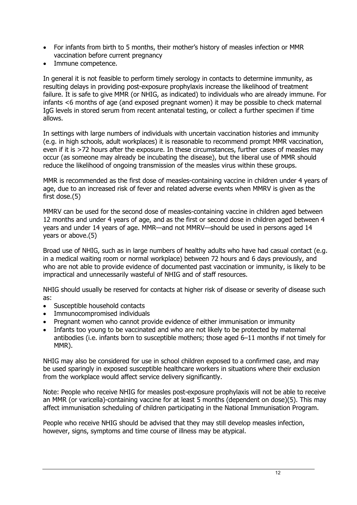- For infants from birth to 5 months, their mother's history of measles infection or MMR vaccination before current pregnancy
- Immune competence.

In general it is not feasible to perform timely serology in contacts to determine immunity, as resulting delays in providing post-exposure prophylaxis increase the likelihood of treatment failure. It is safe to give MMR (or NHIG, as indicated) to individuals who are already immune. For infants <6 months of age (and exposed pregnant women) it may be possible to check maternal IgG levels in stored serum from recent antenatal testing, or collect a further specimen if time allows.

In settings with large numbers of individuals with uncertain vaccination histories and immunity (e.g. in high schools, adult workplaces) it is reasonable to recommend prompt MMR vaccination, even if it is >72 hours after the exposure. In these circumstances, further cases of measles may occur (as someone may already be incubating the disease), but the liberal use of MMR should reduce the likelihood of ongoing transmission of the measles virus within these groups.

MMR is recommended as the first dose of measles-containing vaccine in children under 4 years of age, due to an increased risk of fever and related adverse events when MMRV is given as the first dose.(5)

MMRV can be used for the second dose of measles-containing vaccine in children aged between 12 months and under 4 years of age, and as the first or second dose in children aged between 4 years and under 14 years of age. MMR—and not MMRV—should be used in persons aged 14 years or above.(5)

Broad use of NHIG, such as in large numbers of healthy adults who have had casual contact (e.g. in a medical waiting room or normal workplace) between 72 hours and 6 days previously, and who are not able to provide evidence of documented past vaccination or immunity, is likely to be impractical and unnecessarily wasteful of NHIG and of staff resources.

NHIG should usually be reserved for contacts at higher risk of disease or severity of disease such as:

- Susceptible household contacts
- Immunocompromised individuals
- Pregnant women who cannot provide evidence of either immunisation or immunity
- Infants too young to be vaccinated and who are not likely to be protected by maternal antibodies (i.e. infants born to susceptible mothers; those aged 6–11 months if not timely for MMR).

NHIG may also be considered for use in school children exposed to a confirmed case, and may be used sparingly in exposed susceptible healthcare workers in situations where their exclusion from the workplace would affect service delivery significantly.

Note: People who receive NHIG for measles post-exposure prophylaxis will not be able to receive an MMR (or varicella)-containing vaccine for at least 5 months (dependent on dose)(5). This may affect immunisation scheduling of children participating in the National Immunisation Program.

People who receive NHIG should be advised that they may still develop measles infection, however, signs, symptoms and time course of illness may be atypical.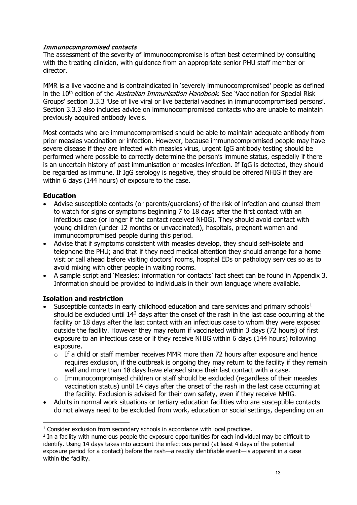## Immunocompromised contacts

The assessment of the severity of immunocompromise is often best determined by consulting with the treating clinician, with guidance from an appropriate senior PHU staff member or director.

MMR is a live vaccine and is contraindicated in 'severely immunocompromised' people as defined in the 10<sup>th</sup> edition of the *Australian Immunisation Handbook*. See 'Vaccination for Special Risk Groups' section 3.3.3 'Use of live viral or live bacterial vaccines in immunocompromised persons'. Section 3.3.3 also includes advice on immunocompromised contacts who are unable to maintain previously acquired antibody levels.

Most contacts who are immunocompromised should be able to maintain adequate antibody from prior measles vaccination or infection. However, because immunocompromised people may have severe disease if they are infected with measles virus, urgent IgG antibody testing should be performed where possible to correctly determine the person's immune status, especially if there is an uncertain history of past immunisation or measles infection. If IgG is detected, they should be regarded as immune. If IgG serology is negative, they should be offered NHIG if they are within 6 days (144 hours) of exposure to the case.

## **Education**

- Advise susceptible contacts (or parents/guardians) of the risk of infection and counsel them to watch for signs or symptoms beginning 7 to 18 days after the first contact with an infectious case (or longer if the contact received NHIG). They should avoid contact with young children (under 12 months or unvaccinated), hospitals, pregnant women and immunocompromised people during this period.
- Advise that if symptoms consistent with measles develop, they should self-isolate and telephone the PHU; and that if they need medical attention they should arrange for a home visit or call ahead before visiting doctors' rooms, hospital EDs or pathology services so as to avoid mixing with other people in waiting rooms.
- A sample script and 'Measles: information for contacts' fact sheet can be found in Appendix 3. Information should be provided to individuals in their own language where available.

## **Isolation and restriction**

- Susceptible contacts in early childhood education and care services and primary schools<sup>[1](#page-12-0)</sup> should be excluded until 14<sup>[2](#page-12-1)</sup> days after the onset of the rash in the last case occurring at the facility or 18 days after the last contact with an infectious case to whom they were exposed outside the facility. However they may return if vaccinated within 3 days (72 hours) of first exposure to an infectious case or if they receive NHIG within 6 days (144 hours) following exposure.
	- $\circ$  If a child or staff member receives MMR more than 72 hours after exposure and hence requires exclusion, if the outbreak is ongoing they may return to the facility if they remain well and more than 18 days have elapsed since their last contact with a case.
	- o Immunocompromised children or staff should be excluded (regardless of their measles vaccination status) until 14 days after the onset of the rash in the last case occurring at the facility. Exclusion is advised for their own safety, even if they receive NHIG.
- Adults in normal work situations or tertiary education facilities who are susceptible contacts do not always need to be excluded from work, education or social settings, depending on an

<span id="page-12-0"></span><sup>&</sup>lt;sup>1</sup> Consider exclusion from secondary schools in accordance with local practices.

<span id="page-12-1"></span><sup>&</sup>lt;sup>2</sup> In a facility with numerous people the exposure opportunities for each individual may be difficult to identify. Using 14 days takes into account the infectious period (at least 4 days of the potential exposure period for a contact) before the rash—a readily identifiable event—is apparent in a case within the facility.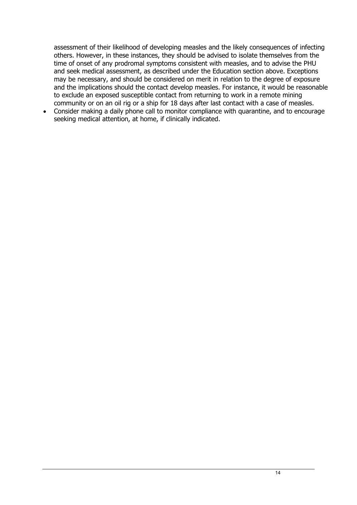assessment of their likelihood of developing measles and the likely consequences of infecting others. However, in these instances, they should be advised to isolate themselves from the time of onset of any prodromal symptoms consistent with measles, and to advise the PHU and seek medical assessment, as described under the Education section above. Exceptions may be necessary, and should be considered on merit in relation to the degree of exposure and the implications should the contact develop measles. For instance, it would be reasonable to exclude an exposed susceptible contact from returning to work in a remote mining community or on an oil rig or a ship for 18 days after last contact with a case of measles.

• Consider making a daily phone call to monitor compliance with quarantine, and to encourage seeking medical attention, at home, if clinically indicated.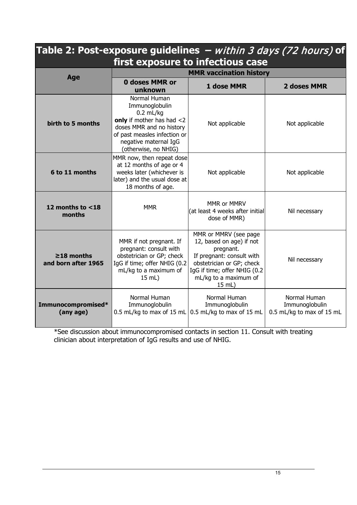| Table 2: Post-exposure guidelines $-$ within 3 days (72 hours) of<br>first exposure to infectious case |                                                                                                                                                                                         |                                                                                                                                                                                             |                                                             |  |  |  |  |
|--------------------------------------------------------------------------------------------------------|-----------------------------------------------------------------------------------------------------------------------------------------------------------------------------------------|---------------------------------------------------------------------------------------------------------------------------------------------------------------------------------------------|-------------------------------------------------------------|--|--|--|--|
|                                                                                                        | <b>MMR vaccination history</b>                                                                                                                                                          |                                                                                                                                                                                             |                                                             |  |  |  |  |
| Age                                                                                                    | <b>0 doses MMR or</b><br>unknown                                                                                                                                                        | 1 dose MMR                                                                                                                                                                                  | 2 doses MMR                                                 |  |  |  |  |
| birth to 5 months                                                                                      | Normal Human<br>Immunoglobulin<br>$0.2$ mL/kg<br>only if mother has had <2<br>doses MMR and no history<br>of past measles infection or<br>negative maternal IgG<br>(otherwise, no NHIG) | Not applicable                                                                                                                                                                              | Not applicable                                              |  |  |  |  |
| 6 to 11 months                                                                                         | MMR now, then repeat dose<br>at 12 months of age or 4<br>weeks later (whichever is<br>later) and the usual dose at<br>18 months of age.                                                 | Not applicable                                                                                                                                                                              | Not applicable                                              |  |  |  |  |
| 12 months to $<$ 18<br>months                                                                          | <b>MMR</b>                                                                                                                                                                              | MMR or MMRV<br>(at least 4 weeks after initial<br>dose of MMR)                                                                                                                              | Nil necessary                                               |  |  |  |  |
| $\geq$ 18 months<br>and born after 1965                                                                | MMR if not pregnant. If<br>pregnant: consult with<br>obstetrician or GP; check<br>IgG if time; offer NHIG (0.2<br>mL/kg to a maximum of<br>15 mL)                                       | MMR or MMRV (see page<br>12, based on age) if not<br>pregnant.<br>If pregnant: consult with<br>obstetrician or GP; check<br>IgG if time; offer NHIG (0.2<br>mL/kg to a maximum of<br>15 mL) | Nil necessary                                               |  |  |  |  |
| Immunocompromised*<br>(any age)                                                                        | Normal Human<br>Immunoglobulin<br>0.5 mL/kg to max of 15 mL                                                                                                                             | Normal Human<br>Immunoglobulin<br>0.5 mL/kg to max of 15 mL                                                                                                                                 | Normal Human<br>Immunoglobulin<br>0.5 mL/kg to max of 15 mL |  |  |  |  |

\*See discussion about immunocompromised contacts in section 11. Consult with treating clinician about interpretation of IgG results and use of NHIG.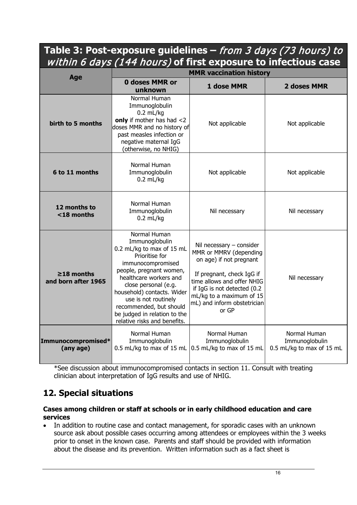# **Table 3: Post-exposure guidelines –** from 3 days (73 hours) to within 6 days (144 hours) **of first exposure to infectious case**

|                                         | <b>MMR vaccination history</b>                                                                                                                                                                                                                                                                                                   |                                                                                                                                                                                                                                               |                                                             |  |  |  |  |
|-----------------------------------------|----------------------------------------------------------------------------------------------------------------------------------------------------------------------------------------------------------------------------------------------------------------------------------------------------------------------------------|-----------------------------------------------------------------------------------------------------------------------------------------------------------------------------------------------------------------------------------------------|-------------------------------------------------------------|--|--|--|--|
| Age                                     | <b>0 doses MMR or</b><br>unknown                                                                                                                                                                                                                                                                                                 | 1 dose MMR                                                                                                                                                                                                                                    | 2 doses MMR                                                 |  |  |  |  |
| birth to 5 months                       | Normal Human<br>Immunoglobulin<br>$0.2$ mL/kg<br>only if mother has had $<$ 2<br>doses MMR and no history of<br>past measles infection or<br>negative maternal IgG<br>(otherwise, no NHIG)                                                                                                                                       | Not applicable                                                                                                                                                                                                                                | Not applicable                                              |  |  |  |  |
| 6 to 11 months                          | Normal Human<br>Immunoglobulin<br>$0.2$ mL/kg                                                                                                                                                                                                                                                                                    | Not applicable                                                                                                                                                                                                                                | Not applicable                                              |  |  |  |  |
| 12 months to<br>$<$ 18 months           | Normal Human<br>Immunoglobulin<br>$0.2$ mL/kg                                                                                                                                                                                                                                                                                    | Nil necessary                                                                                                                                                                                                                                 | Nil necessary                                               |  |  |  |  |
| $\geq$ 18 months<br>and born after 1965 | Normal Human<br>Immunoglobulin<br>0.2 mL/kg to max of 15 mL<br>Prioritise for<br>immunocompromised<br>people, pregnant women,<br>healthcare workers and<br>close personal (e.g.<br>household) contacts. Wider<br>use is not routinely<br>recommended, but should<br>be judged in relation to the<br>relative risks and benefits. | Nil necessary $-$ consider<br>MMR or MMRV (depending<br>on age) if not pregnant<br>If pregnant, check IgG if<br>time allows and offer NHIG<br>if IgG is not detected (0.2<br>mL/kg to a maximum of 15<br>mL) and inform obstetrician<br>or GP | Nil necessary                                               |  |  |  |  |
| Immunocompromised*<br>(any age)         | Normal Human<br>Immunoglobulin<br>0.5 mL/kg to max of 15 mL                                                                                                                                                                                                                                                                      | Normal Human<br>Immunoglobulin<br>0.5 mL/kg to max of 15 mL                                                                                                                                                                                   | Normal Human<br>Immunoglobulin<br>0.5 mL/kg to max of 15 mL |  |  |  |  |

\*See discussion about immunocompromised contacts in section 11. Consult with treating clinician about interpretation of IgG results and use of NHIG.

# **12. Special situations**

#### **Cases among children or staff at schools or in early childhood education and care services**

• In addition to routine case and contact management, for sporadic cases with an unknown source ask about possible cases occurring among attendees or employees within the 3 weeks prior to onset in the known case. Parents and staff should be provided with information about the disease and its prevention. Written information such as a fact sheet is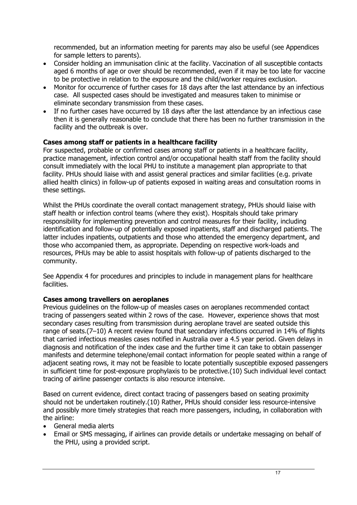recommended, but an information meeting for parents may also be useful (see Appendices for sample letters to parents).

- Consider holding an immunisation clinic at the facility. Vaccination of all susceptible contacts aged 6 months of age or over should be recommended, even if it may be too late for vaccine to be protective in relation to the exposure and the child/worker requires exclusion.
- Monitor for occurrence of further cases for 18 days after the last attendance by an infectious case. All suspected cases should be investigated and measures taken to minimise or eliminate secondary transmission from these cases.
- If no further cases have occurred by 18 days after the last attendance by an infectious case then it is generally reasonable to conclude that there has been no further transmission in the facility and the outbreak is over.

## **Cases among staff or patients in a healthcare facility**

For suspected, probable or confirmed cases among staff or patients in a healthcare facility, practice management, infection control and/or occupational health staff from the facility should consult immediately with the local PHU to institute a management plan appropriate to that facility. PHUs should liaise with and assist general practices and similar facilities (e.g. private allied health clinics) in follow-up of patients exposed in waiting areas and consultation rooms in these settings.

Whilst the PHUs coordinate the overall contact management strategy, PHUs should liaise with staff health or infection control teams (where they exist). Hospitals should take primary responsibility for implementing prevention and control measures for their facility, including identification and follow-up of potentially exposed inpatients, staff and discharged patients. The latter includes inpatients, outpatients and those who attended the emergency department, and those who accompanied them, as appropriate. Depending on respective work-loads and resources, PHUs may be able to assist hospitals with follow-up of patients discharged to the community.

See Appendix 4 for procedures and principles to include in management plans for healthcare facilities.

## **Cases among travellers on aeroplanes**

Previous guidelines on the follow-up of measles cases on aeroplanes recommended contact tracing of passengers seated within 2 rows of the case. However, experience shows that most secondary cases resulting from transmission during aeroplane travel are seated outside this range of seats.(7–10) A recent review found that secondary infections occurred in 14% of flights that carried infectious measles cases notified in Australia over a 4.5 year period. Given delays in diagnosis and notification of the index case and the further time it can take to obtain passenger manifests and determine telephone/email contact information for people seated within a range of adjacent seating rows, it may not be feasible to locate potentially susceptible exposed passengers in sufficient time for post-exposure prophylaxis to be protective.(10) Such individual level contact tracing of airline passenger contacts is also resource intensive.

Based on current evidence, direct contact tracing of passengers based on seating proximity should not be undertaken routinely.(10) Rather, PHUs should consider less resource-intensive and possibly more timely strategies that reach more passengers, including, in collaboration with the airline:

- General media alerts
- Email or SMS messaging, if airlines can provide details or undertake messaging on behalf of the PHU, using a provided script.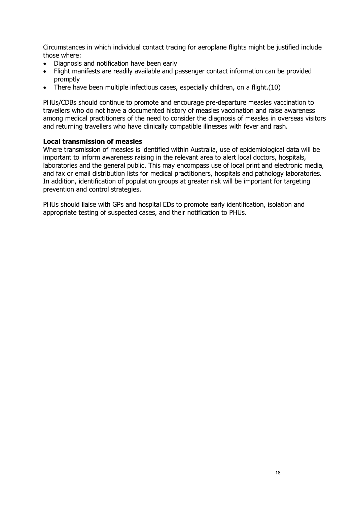Circumstances in which individual contact tracing for aeroplane flights might be justified include those where:

- Diagnosis and notification have been early
- Flight manifests are readily available and passenger contact information can be provided promptly
- There have been multiple infectious cases, especially children, on a flight.(10)

PHUs/CDBs should continue to promote and encourage pre-departure measles vaccination to travellers who do not have a documented history of measles vaccination and raise awareness among medical practitioners of the need to consider the diagnosis of measles in overseas visitors and returning travellers who have clinically compatible illnesses with fever and rash.

#### **Local transmission of measles**

Where transmission of measles is identified within Australia, use of epidemiological data will be important to inform awareness raising in the relevant area to alert local doctors, hospitals, laboratories and the general public. This may encompass use of local print and electronic media, and fax or email distribution lists for medical practitioners, hospitals and pathology laboratories. In addition, identification of population groups at greater risk will be important for targeting prevention and control strategies.

PHUs should liaise with GPs and hospital EDs to promote early identification, isolation and appropriate testing of suspected cases, and their notification to PHUs.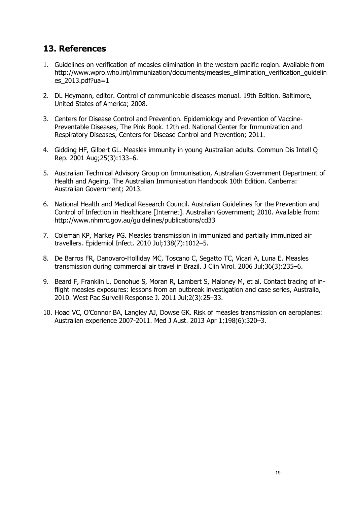## **13. References**

- 1. Guidelines on verification of measles elimination in the western pacific region. Available from http://www.wpro.who.int/immunization/documents/measles\_elimination\_verification\_quidelin es  $2013.pdf$ .pdf?ua=1
- 2. DL Heymann, editor. Control of communicable diseases manual. 19th Edition. Baltimore, United States of America; 2008.
- 3. Centers for Disease Control and Prevention. Epidemiology and Prevention of Vaccine-Preventable Diseases, The Pink Book. 12th ed. National Center for Immunization and Respiratory Diseases, Centers for Disease Control and Prevention; 2011.
- 4. Gidding HF, Gilbert GL. Measles immunity in young Australian adults. Commun Dis Intell Q Rep. 2001 Aug;25(3):133–6.
- 5. Australian Technical Advisory Group on Immunisation, Australian Government Department of Health and Ageing. The Australian Immunisation Handbook 10th Edition. Canberra: Australian Government; 2013.
- 6. National Health and Medical Research Council. Australian Guidelines for the Prevention and Control of Infection in Healthcare [Internet]. Australian Government; 2010. Available from: http://www.nhmrc.gov.au/guidelines/publications/cd33
- 7. Coleman KP, Markey PG. Measles transmission in immunized and partially immunized air travellers. Epidemiol Infect. 2010 Jul;138(7):1012–5.
- 8. De Barros FR, Danovaro-Holliday MC, Toscano C, Segatto TC, Vicari A, Luna E. Measles transmission during commercial air travel in Brazil. J Clin Virol. 2006 Jul;36(3):235–6.
- 9. Beard F, Franklin L, Donohue S, Moran R, Lambert S, Maloney M, et al. Contact tracing of inflight measles exposures: lessons from an outbreak investigation and case series, Australia, 2010. West Pac Surveill Response J. 2011 Jul;2(3):25–33.
- 10. Hoad VC, O'Connor BA, Langley AJ, Dowse GK. Risk of measles transmission on aeroplanes: Australian experience 2007-2011. Med J Aust. 2013 Apr 1;198(6):320–3.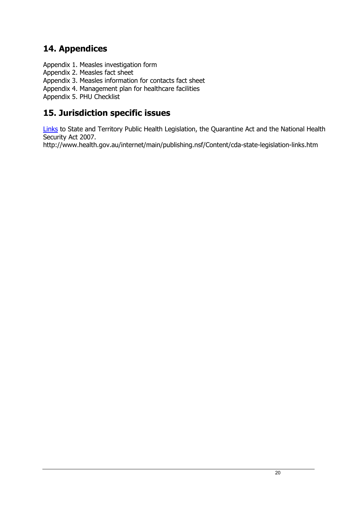# **14. Appendices**

Appendix 1. Measles investigation form

Appendix 2. Measles fact sheet

Appendix 3. Measles information for contacts fact sheet

Appendix 4. Management plan for healthcare facilities

Appendix 5. PHU Checklist

## **15. Jurisdiction specific issues**

[Links](http://www.health.gov.au/internet/main/publishing.nsf/Content/cda-state-legislation-links.htm) to State and Territory Public Health Legislation, the Quarantine Act and the National Health Security Act 2007.

http://www.health.gov.au/internet/main/publishing.nsf/Content/cda-state-legislation-links.htm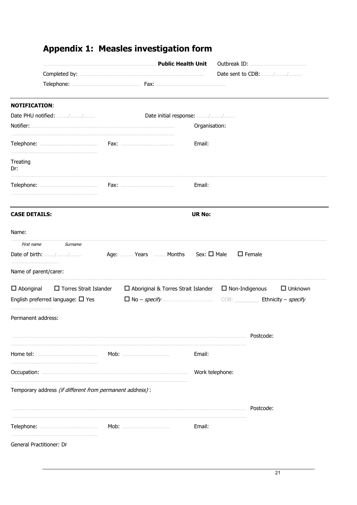|                                                           | Public Health Unit                         |                     |                       |                      |
|-----------------------------------------------------------|--------------------------------------------|---------------------|-----------------------|----------------------|
|                                                           |                                            |                     |                       | Date sent to CDB: // |
|                                                           |                                            |                     |                       |                      |
| <b>NOTIFICATION:</b>                                      |                                            |                     |                       |                      |
| Date PHU notified: //                                     | Date initial response: //                  |                     |                       |                      |
|                                                           |                                            | Organisation:       |                       |                      |
|                                                           |                                            | Email:              |                       |                      |
| Treating<br>Dr:                                           |                                            |                     |                       |                      |
|                                                           |                                            | Email:              |                       |                      |
| <b>CASE DETAILS:</b>                                      |                                            | <b>UR No:</b>       |                       |                      |
| Name:                                                     |                                            |                     |                       |                      |
| First name<br>Surname                                     |                                            |                     |                       |                      |
|                                                           |                                            | Sex: $\square$ Male |                       | $\Box$ Female        |
| Name of parent/carer:                                     |                                            |                     |                       |                      |
| $\Box$ Aboriginal<br>$\Box$ Torres Strait Islander        | $\Box$ Aboriginal & Torres Strait Islander |                     | $\Box$ Non-Indigenous | $\Box$ Unknown       |
| English preferred language: $\Box$ Yes                    |                                            |                     |                       |                      |
| Permanent address:                                        |                                            |                     |                       |                      |
|                                                           |                                            |                     |                       | Postcode:            |
|                                                           |                                            | Email:              |                       |                      |
|                                                           |                                            | Work telephone:     |                       |                      |
| Temporary address (if different from permanent address) : |                                            |                     |                       |                      |
|                                                           |                                            |                     |                       | Postcode:            |
|                                                           |                                            | Email:              |                       |                      |
| General Practitioner: Dr                                  |                                            |                     |                       |                      |

# **Appendix 1: Measles investigation form**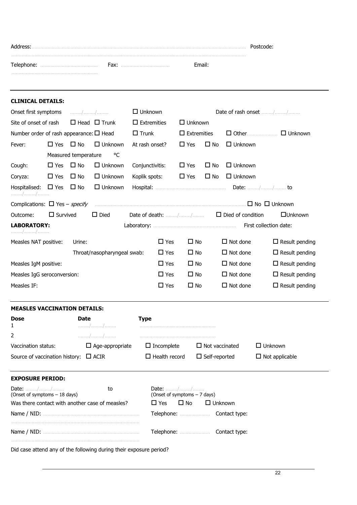| Address: |      |        | Postcode: |
|----------|------|--------|-----------|
|          | Fax: | Email: |           |
|          |      |        |           |

| <b>CLINICAL DETAILS:</b>                          |                 |                      |                        |                                                                       |                                            |                       |                 |                                                |                       |
|---------------------------------------------------|-----------------|----------------------|------------------------|-----------------------------------------------------------------------|--------------------------------------------|-----------------------|-----------------|------------------------------------------------|-----------------------|
| Onset first symptoms<br>. / /                     |                 |                      | $\Box$ Unknown         |                                                                       |                                            | Date of rash onset // |                 |                                                |                       |
| $\Box$ Head $\Box$ Trunk<br>Site of onset of rash |                 |                      | $\square$ Extremities  |                                                                       | $\Box$ Unknown                             |                       |                 |                                                |                       |
| Number order of rash appearance: $\square$ Head   |                 |                      |                        | $\Box$ Trunk                                                          |                                            | $\Box$ Extremities    |                 | $\Box$ Other                                   | $\Box$ Unknown        |
| Fever:                                            | $\Box$ Yes      | $\square$ No         | $\Box$ Unknown         |                                                                       | At rash onset?                             | $\Box$ Yes            | $\square$ No    | $\Box$ Unknown                                 |                       |
|                                                   |                 | Measured temperature | °C                     |                                                                       |                                            |                       |                 |                                                |                       |
| Cough:                                            | $\Box$ Yes      | $\square$ No         | $\Box$ Unknown         |                                                                       | Conjunctivitis:                            | $\Box$ Yes            | $\Box$ No       | $\Box$ Unknown                                 |                       |
| Coryza:                                           | $\Box$ Yes      | $\Box$ No            | $\Box$ Unknown         |                                                                       | Koplik spots:                              | $\Box$ Yes            | $\square$ No    | $\Box$ Unknown                                 |                       |
| Hospitalised:<br>. / /                            | $\Box$ Yes      | $\square$ No         | $\Box$ Unknown         |                                                                       |                                            |                       |                 |                                                |                       |
| Complications: $\Box$ Yes – <i>specify</i>        |                 |                      |                        |                                                                       |                                            |                       |                 |                                                |                       |
| Outcome:                                          | $\Box$ Survived |                      | $\Box$ Died            |                                                                       |                                            |                       |                 | Date of death: $\frac{1}{2}$ Died of condition | $\Box$ Unknown        |
| <b>LABORATORY:</b><br>. / /                       |                 |                      |                        |                                                                       |                                            |                       |                 |                                                |                       |
| Measles NAT positive:                             |                 | Urine:               |                        |                                                                       | $\Box$ Yes                                 | $\Box$ No             |                 | $\Box$ Not done                                | $\Box$ Result pending |
| Throat/nasopharyngeal swab:                       |                 |                      |                        | $\Box$ Yes                                                            | $\Box$ No                                  |                       | $\Box$ Not done | $\Box$ Result pending                          |                       |
| Measles IgM positive:                             |                 |                      |                        | $\square$ Yes                                                         | $\Box$ No                                  |                       | $\Box$ Not done | $\Box$ Result pending                          |                       |
| Measles IgG seroconversion:                       |                 |                      |                        |                                                                       | $\Box$ Yes                                 | $\square$ No          |                 | $\Box$ Not done                                | $\Box$ Result pending |
| Measles IF:                                       |                 |                      |                        |                                                                       | $\Box$ Yes                                 | $\Box$ No             |                 | $\Box$ Not done                                | $\Box$ Result pending |
| <b>MEASLES VACCINATION DETAILS:</b>               |                 |                      |                        |                                                                       |                                            |                       |                 |                                                |                       |
| <b>Dose</b><br>1                                  |                 | <b>Date</b>          | . / /                  | <b>Type</b>                                                           |                                            |                       |                 |                                                |                       |
| 2                                                 |                 |                      | . / /                  |                                                                       |                                            |                       |                 |                                                |                       |
| Vaccination status:                               |                 |                      | $\Box$ Age-appropriate |                                                                       | $\Box$ Incomplete<br>$\Box$ Not vaccinated |                       |                 |                                                | $\Box$ Unknown        |
| Source of vaccination history:<br>$\Box$ ACIR     |                 |                      |                        | $\Box$ Health record<br>$\Box$ Self-reported<br>$\Box$ Not applicable |                                            |                       |                 |                                                |                       |
| <b>EXPOSURE PERIOD:</b>                           |                 |                      |                        |                                                                       |                                            |                       |                 |                                                |                       |
| Date: //<br>to<br>(Onset of symptoms - 18 days)   |                 |                      |                        | Date: //<br>(Onset of symptoms - 7 days)                              |                                            |                       |                 |                                                |                       |
| Was there contact with another case of measles?   |                 |                      |                        |                                                                       | $\Box$ Yes<br>$\Box$ No<br>$\Box$ Unknown  |                       |                 |                                                |                       |
|                                                   |                 |                      |                        |                                                                       | Contact type:                              |                       |                 |                                                |                       |
|                                                   |                 |                      |                        |                                                                       |                                            |                       |                 |                                                |                       |

Did case attend any of the following during their exposure period?

.........................................................................................

Name / NID: ................................................................... Telephone: ..................... Contact type: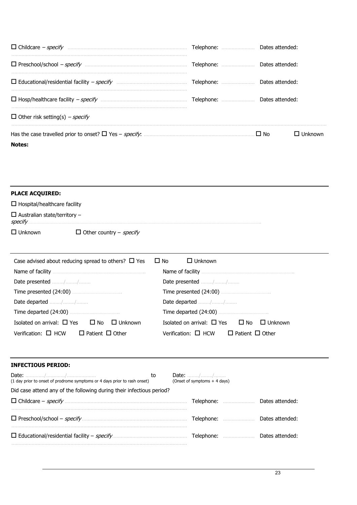| □ Educational/residential facility - specify manuminaminaminaminaminaminal Telephone: manuminaminal Dates attended: |                 |
|---------------------------------------------------------------------------------------------------------------------|-----------------|
|                                                                                                                     |                 |
| $\Box$ Other risk setting(s) – specify                                                                              |                 |
| <b>Notes:</b>                                                                                                       | <b>LInknown</b> |

| <b>PLACE ACQUIRED:</b>                          |                                       |
|-------------------------------------------------|---------------------------------------|
| $\Box$ Hospital/healthcare facility             |                                       |
| $\Box$ Australian state/territory -<br>specify. |                                       |
| $\Box$ Unknown                                  | $\Box$ Other country – <i>specify</i> |

| Case advised about reducing spread to others? $\Box$ Yes $\Box$ No | $\Box$ Unknown                                           |  |  |  |  |
|--------------------------------------------------------------------|----------------------------------------------------------|--|--|--|--|
|                                                                    |                                                          |  |  |  |  |
|                                                                    | Date presented //                                        |  |  |  |  |
|                                                                    |                                                          |  |  |  |  |
| Date departed //                                                   | Date departed //                                         |  |  |  |  |
|                                                                    |                                                          |  |  |  |  |
| Isolated on arrival: $\Box$ Yes $\Box$ No $\Box$ Unknown           | Isolated on arrival: $\Box$ Yes $\Box$ No $\Box$ Unknown |  |  |  |  |
| Verification: $\Box$ HCW $\Box$ Patient $\Box$ Other               | Verification: $\Box$ HCW $\Box$ Patient $\Box$ Other     |  |  |  |  |

#### **INFECTIOUS PERIOD:**

| (1 day prior to onset of prodrome symptoms or 4 days prior to rash onset) | to |  | (Onset of symptoms $+4$ days) |                   |                 |  |  |
|---------------------------------------------------------------------------|----|--|-------------------------------|-------------------|-----------------|--|--|
| Did case attend any of the following during their infectious period?      |    |  |                               |                   |                 |  |  |
|                                                                           |    |  |                               | <b>Telephone:</b> | Dates attended: |  |  |
|                                                                           |    |  |                               |                   | Dates attended: |  |  |
|                                                                           |    |  |                               |                   | Dates attended: |  |  |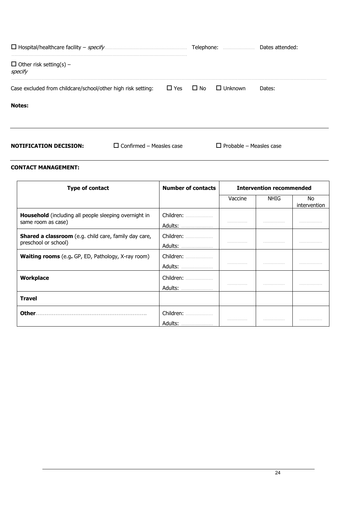|                                                              |            | Telephone:   |                | Dates attended: |
|--------------------------------------------------------------|------------|--------------|----------------|-----------------|
| $\Box$ Other risk setting(s) –<br>specify                    |            |              |                |                 |
| Case excluded from childcare/school/other high risk setting: | $\Box$ Yes | $\square$ No | $\Box$ Unknown | Dates:          |
| <b>Notes:</b>                                                |            |              |                |                 |
|                                                              |            |              |                |                 |
|                                                              |            |              |                |                 |

**NOTIFICATION DECISION:** □ Confirmed – Measles case □ Probable – Measles case

#### **CONTACT MANAGEMENT:**

| Type of contact                                                               | <b>Number of contacts</b> | <b>Intervention recommended</b> |      |                     |
|-------------------------------------------------------------------------------|---------------------------|---------------------------------|------|---------------------|
|                                                                               |                           | Vaccine                         | NHIG | No.<br>intervention |
| Household (including all people sleeping overnight in<br>same room as case)   | Children:<br>Adults:      |                                 |      |                     |
| Shared a classroom (e.g. child care, family day care,<br>preschool or school) | Children:<br>Adults:      |                                 | .    | .                   |
| <b>Waiting rooms</b> (e.g. GP, ED, Pathology, X-ray room)                     | Children:<br>Adults:      |                                 |      |                     |
| <b>Workplace</b>                                                              | Children:<br>Adults:      | .                               | .    | .                   |
| <b>Travel</b>                                                                 |                           |                                 |      |                     |
| Other.                                                                        | Children:<br>Adults:<br>  |                                 | .    |                     |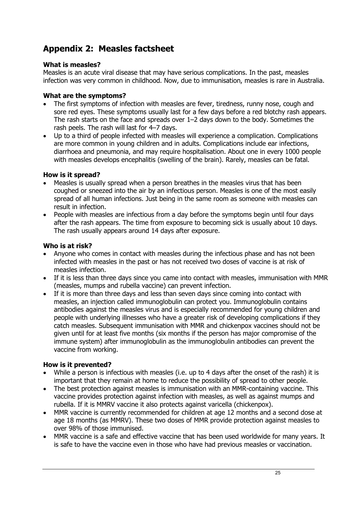# **Appendix 2: Measles factsheet**

## **What is measles?**

Measles is an acute viral disease that may have serious complications. In the past, measles infection was very common in childhood. Now, due to immunisation, measles is rare in Australia.

## **What are the symptoms?**

- The first symptoms of infection with measles are fever, tiredness, runny nose, cough and sore red eyes. These symptoms usually last for a few days before a red blotchy rash appears. The rash starts on the face and spreads over 1–2 days down to the body. Sometimes the rash peels. The rash will last for 4–7 days.
- Up to a third of people infected with measles will experience a complication. Complications are more common in young children and in adults. Complications include ear infections, diarrhoea and pneumonia, and may require hospitalisation. About one in every 1000 people with measles develops encephalitis (swelling of the brain). Rarely, measles can be fatal.

## **How is it spread?**

- Measles is usually spread when a person breathes in the measles virus that has been coughed or sneezed into the air by an infectious person. Measles is one of the most easily spread of all human infections. Just being in the same room as someone with measles can result in infection.
- People with measles are infectious from a day before the symptoms begin until four days after the rash appears. The time from exposure to becoming sick is usually about 10 days. The rash usually appears around 14 days after exposure.

## **Who is at risk?**

- Anyone who comes in contact with measles during the infectious phase and has not been infected with measles in the past or has not received two doses of vaccine is at risk of measles infection.
- If it is less than three days since you came into contact with measles, immunisation with MMR (measles, mumps and rubella vaccine) can prevent infection.
- If it is more than three days and less than seven days since coming into contact with measles, an injection called immunoglobulin can protect you. Immunoglobulin contains antibodies against the measles virus and is especially recommended for young children and people with underlying illnesses who have a greater risk of developing complications if they catch measles. Subsequent immunisation with MMR and chickenpox vaccines should not be given until for at least five months (six months if the person has major compromise of the immune system) after immunoglobulin as the immunoglobulin antibodies can prevent the vaccine from working.

## **How is it prevented?**

- While a person is infectious with measles (i.e. up to 4 days after the onset of the rash) it is important that they remain at home to reduce the possibility of spread to other people.
- The best protection against measles is immunisation with an MMR-containing vaccine. This vaccine provides protection against infection with measles, as well as against mumps and rubella. If it is MMRV vaccine it also protects against varicella (chickenpox).
- MMR vaccine is currently recommended for children at age 12 months and a second dose at age 18 months (as MMRV). These two doses of MMR provide protection against measles to over 98% of those immunised.
- MMR vaccine is a safe and effective vaccine that has been used worldwide for many years. It is safe to have the vaccine even in those who have had previous measles or vaccination.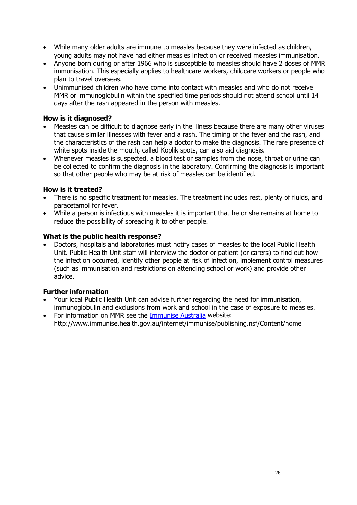- While many older adults are immune to measles because they were infected as children, young adults may not have had either measles infection or received measles immunisation.
- Anyone born during or after 1966 who is susceptible to measles should have 2 doses of MMR immunisation. This especially applies to healthcare workers, childcare workers or people who plan to travel overseas.
- Unimmunised children who have come into contact with measles and who do not receive MMR or immunoglobulin within the specified time periods should not attend school until 14 days after the rash appeared in the person with measles.

## **How is it diagnosed?**

- Measles can be difficult to diagnose early in the illness because there are many other viruses that cause similar illnesses with fever and a rash. The timing of the fever and the rash, and the characteristics of the rash can help a doctor to make the diagnosis. The rare presence of white spots inside the mouth, called Koplik spots, can also aid diagnosis.
- Whenever measles is suspected, a blood test or samples from the nose, throat or urine can be collected to confirm the diagnosis in the laboratory. Confirming the diagnosis is important so that other people who may be at risk of measles can be identified.

## **How is it treated?**

- There is no specific treatment for measles. The treatment includes rest, plenty of fluids, and paracetamol for fever.
- While a person is infectious with measles it is important that he or she remains at home to reduce the possibility of spreading it to other people.

#### **What is the public health response?**

• Doctors, hospitals and laboratories must notify cases of measles to the local Public Health Unit. Public Health Unit staff will interview the doctor or patient (or carers) to find out how the infection occurred, identify other people at risk of infection, implement control measures (such as immunisation and restrictions on attending school or work) and provide other advice.

## **Further information**

- Your local Public Health Unit can advise further regarding the need for immunisation, immunoglobulin and exclusions from work and school in the case of exposure to measles.
- For information on MMR see the [Immunise Australia](https://beta.health.gov.au/health-topics/immunisation?utm_source=immunise_australia_program&utm_medium=redirect&utm_campaign=digital_transformation) website: http://www.immunise.health.gov.au/internet/immunise/publishing.nsf/Content/home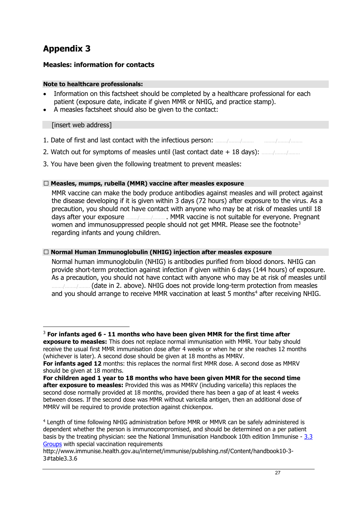# **Appendix 3**

## **Measles: information for contacts**

#### **Note to healthcare professionals:**

- Information on this factsheet should be completed by a healthcare professional for each patient (exposure date, indicate if given MMR or NHIG, and practice stamp).
- A measles factsheet should also be given to the contact:

[insert web address]

- 1. Date of first and last contact with the infectious person: ......../......../........ ......../......../........
- 2. Watch out for symptoms of measles until (last contact date + 18 days): ......../......../........
- 3. You have been given the following treatment to prevent measles:

## **� Measles, mumps, rubella (MMR) vaccine after measles exposure**

MMR vaccine can make the body produce antibodies against measles and will protect against the disease developing if it is given within 3 days (72 hours) after exposure to the virus. As a precaution, you should not have contact with anyone who may be at risk of measles until 18 days after your exposure ......../......../........ . MMR vaccine is not suitable for everyone. Pregnant women and immunosuppressed people should not get MMR. Please see the footnote<sup>[3](#page-26-0)</sup> regarding infants and young children.

## **� Normal Human Immunoglobulin (NHIG) injection after measles exposure**

Normal human immunoglobulin (NHIG) is antibodies purified from blood donors. NHIG can provide short-term protection against infection if given within 6 days (144 hours) of exposure. As a precaution, you should not have contact with anyone who may be at risk of measles until ......../......../........ (date in 2. above). NHIG does not provide long-term protection from measles and you should arrange to receive MMR vaccination at least 5 months<sup>[4](#page-26-1)</sup> after receiving NHIG.

<span id="page-26-0"></span> <sup>3</sup> **For infants aged 6 - 11 months who have been given MMR for the first time after exposure to measles:** This does not replace normal immunisation with MMR. Your baby should receive the usual first MMR immunisation dose after 4 weeks or when he or she reaches 12 months

<sup>(</sup>whichever is later). A second dose should be given at 18 months as MMRV. **For infants aged 12** months: this replaces the normal first MMR dose. A second dose as MMRV should be given at 18 months.

**For children aged 1 year to 18 months who have been given MMR for the second time after exposure to measles:** Provided this was as MMRV (including varicella) this replaces the second dose normally provided at 18 months, provided there has been a gap of at least 4 weeks between doses. If the second dose was MMR without varicella antigen, then an additional dose of MMRV will be required to provide protection against chickenpox.

<span id="page-26-1"></span><sup>4</sup> Length of time following NHIG administration before MMR or MMVR can be safely administered is dependent whether the person is immunocompromised, and should be determined on a per patient basis by the treating physician: see the National Immunisation Handbook 10th edition Immunise - [3.3](https://beta.health.gov.au/health-topics/immunisation?utm_source=immunise_australia_program&utm_medium=redirect&utm_campaign=digital_transformation#table3.3.6)  [Groups](https://beta.health.gov.au/health-topics/immunisation?utm_source=immunise_australia_program&utm_medium=redirect&utm_campaign=digital_transformation#table3.3.6) with special vaccination requirements

http://www.immunise.health.gov.au/internet/immunise/publishing.nsf/Content/handbook10-3- 3#table3.3.6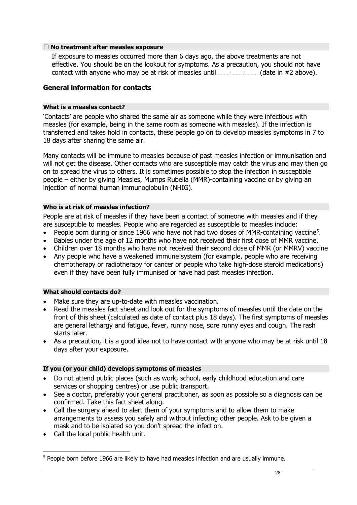#### **� No treatment after measles exposure**

If exposure to measles occurred more than 6 days ago, the above treatments are not effective. You should be on the lookout for symptoms. As a precaution, you should not have contact with anyone who may be at risk of measles until ......../......../......... (date in #2 above).

#### **General information for contacts**

#### **What is a measles contact?**

'Contacts' are people who shared the same air as someone while they were infectious with measles (for example, being in the same room as someone with measles). If the infection is transferred and takes hold in contacts, these people go on to develop measles symptoms in 7 to 18 days after sharing the same air.

Many contacts will be immune to measles because of past measles infection or immunisation and will not get the disease. Other contacts who are susceptible may catch the virus and may then go on to spread the virus to others. It is sometimes possible to stop the infection in susceptible people – either by giving Measles, Mumps Rubella (MMR)-containing vaccine or by giving an injection of normal human immunoglobulin (NHIG).

#### **Who is at risk of measles infection?**

People are at risk of measles if they have been a contact of someone with measles and if they are susceptible to measles. People who are regarded as susceptible to measles include:

- People born during or since 1966 who have not had two doses of MMR-containing vaccine<sup>[5](#page-27-0)</sup>.
- Babies under the age of 12 months who have not received their first dose of MMR vaccine.
- Children over 18 months who have not received their second dose of MMR (or MMRV) vaccine
- Any people who have a weakened immune system (for example, people who are receiving chemotherapy or radiotherapy for cancer or people who take high-dose steroid medications) even if they have been fully immunised or have had past measles infection.

#### **What should contacts do?**

- Make sure they are up-to-date with measles vaccination.
- Read the measles fact sheet and look out for the symptoms of measles until the date on the front of this sheet (calculated as date of contact plus 18 days). The first symptoms of measles are general lethargy and fatigue, fever, runny nose, sore runny eyes and cough. The rash starts later.
- As a precaution, it is a good idea not to have contact with anyone who may be at risk until 18 days after your exposure.

#### **If you (or your child) develops symptoms of measles**

- Do not attend public places (such as work, school, early childhood education and care services or shopping centres) or use public transport.
- See a doctor, preferably your general practitioner, as soon as possible so a diagnosis can be confirmed. Take this fact sheet along.
- Call the surgery ahead to alert them of your symptoms and to allow them to make arrangements to assess you safely and without infecting other people. Ask to be given a mask and to be isolated so you don't spread the infection.
- Call the local public health unit.

<span id="page-27-0"></span> <sup>5</sup> People born before 1966 are likely to have had measles infection and are usually immune.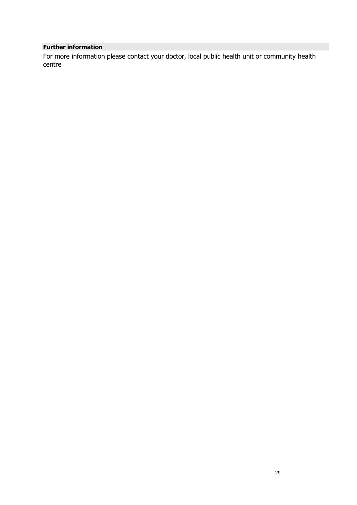## **Further information**

For more information please contact your doctor, local public health unit or community health centre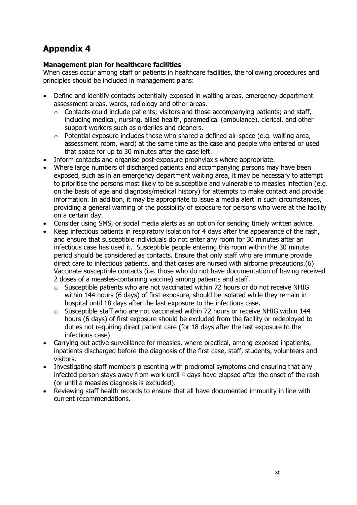# **Appendix 4**

## **Management plan for healthcare facilities**

When cases occur among staff or patients in healthcare facilities, the following procedures and principles should be included in management plans:

- Define and identify contacts potentially exposed in waiting areas, emergency department assessment areas, wards, radiology and other areas.
	- o Contacts could include patients; visitors and those accompanying patients; and staff, including medical, nursing, allied health, paramedical (ambulance), clerical, and other support workers such as orderlies and cleaners.
	- o Potential exposure includes those who shared a defined air-space (e.g. waiting area, assessment room, ward) at the same time as the case and people who entered or used that space for up to 30 minutes after the case left.
- Inform contacts and organise post-exposure prophylaxis where appropriate.
- Where large numbers of discharged patients and accompanying persons may have been exposed, such as in an emergency department waiting area, it may be necessary to attempt to prioritise the persons most likely to be susceptible and vulnerable to measles infection (e.g. on the basis of age and diagnosis/medical history) for attempts to make contact and provide information. In addition, it may be appropriate to issue a media alert in such circumstances, providing a general warning of the possibility of exposure for persons who were at the facility on a certain day.
- Consider using SMS, or social media alerts as an option for sending timely written advice.
- Keep infectious patients in respiratory isolation for 4 days after the appearance of the rash, and ensure that susceptible individuals do not enter any room for 30 minutes after an infectious case has used it. Susceptible people entering this room within the 30 minute period should be considered as contacts. Ensure that only staff who are immune provide direct care to infectious patients, and that cases are nursed with airborne precautions.(6) Vaccinate susceptible contacts (i.e. those who do not have documentation of having received 2 doses of a measles-containing vaccine) among patients and staff.
	- o Susceptible patients who are not vaccinated within 72 hours or do not receive NHIG within 144 hours (6 days) of first exposure, should be isolated while they remain in hospital until 18 days after the last exposure to the infectious case.
	- $\circ$  Susceptible staff who are not vaccinated within 72 hours or receive NHIG within 144 hours (6 days) of first exposure should be excluded from the facility or redeployed to duties not requiring direct patient care (for 18 days after the last exposure to the infectious case)
- Carrying out active surveillance for measles, where practical, among exposed inpatients, inpatients discharged before the diagnosis of the first case, staff, students, volunteers and visitors.
- Investigating staff members presenting with prodromal symptoms and ensuring that any infected person stays away from work until 4 days have elapsed after the onset of the rash (or until a measles diagnosis is excluded).
- Reviewing staff health records to ensure that all have documented immunity in line with current recommendations.